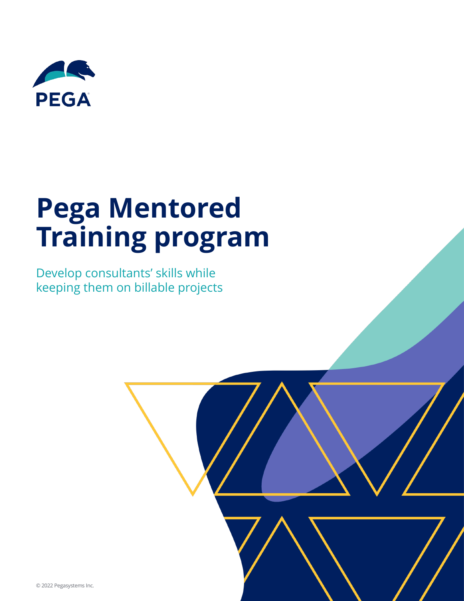

# **Pega Mentored Training program**

Develop consultants' skills while keeping them on billable projects